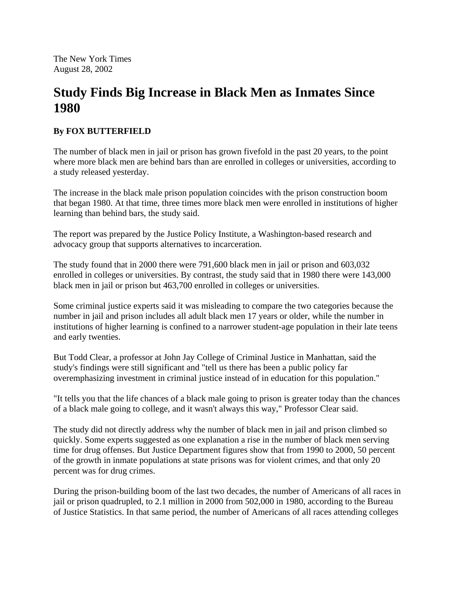The New York Times August 28, 2002

## **Study Finds Big Increase in Black Men as Inmates Since 1980**

## **By FOX BUTTERFIELD**

The number of black men in jail or prison has grown fivefold in the past 20 years, to the point where more black men are behind bars than are enrolled in colleges or universities, according to a study released yesterday.

The increase in the black male prison population coincides with the prison construction boom that began 1980. At that time, three times more black men were enrolled in institutions of higher learning than behind bars, the study said.

The report was prepared by the Justice Policy Institute, a Washington-based research and advocacy group that supports alternatives to incarceration.

The study found that in 2000 there were 791,600 black men in jail or prison and 603,032 enrolled in colleges or universities. By contrast, the study said that in 1980 there were 143,000 black men in jail or prison but 463,700 enrolled in colleges or universities.

Some criminal justice experts said it was misleading to compare the two categories because the number in jail and prison includes all adult black men 17 years or older, while the number in institutions of higher learning is confined to a narrower student-age population in their late teens and early twenties.

But Todd Clear, a professor at John Jay College of Criminal Justice in Manhattan, said the study's findings were still significant and "tell us there has been a public policy far overemphasizing investment in criminal justice instead of in education for this population."

"It tells you that the life chances of a black male going to prison is greater today than the chances of a black male going to college, and it wasn't always this way," Professor Clear said.

The study did not directly address why the number of black men in jail and prison climbed so quickly. Some experts suggested as one explanation a rise in the number of black men serving time for drug offenses. But Justice Department figures show that from 1990 to 2000, 50 percent of the growth in inmate populations at state prisons was for violent crimes, and that only 20 percent was for drug crimes.

During the prison-building boom of the last two decades, the number of Americans of all races in jail or prison quadrupled, to 2.1 million in 2000 from 502,000 in 1980, according to the Bureau of Justice Statistics. In that same period, the number of Americans of all races attending colleges